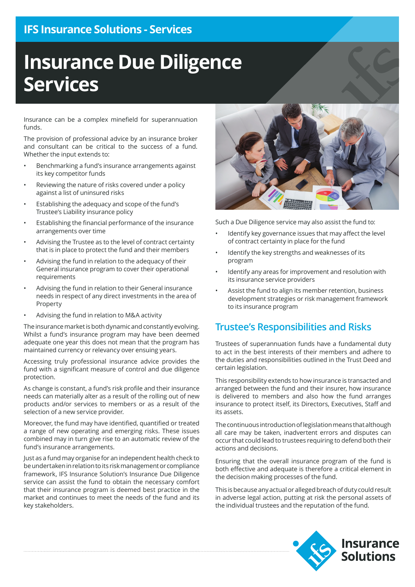## **IFS Insurance Solutions - Services**

# **Insurance Due Diligence Services**

Insurance can be a complex minefield for superannuation funds.

The provision of professional advice by an insurance broker and consultant can be critical to the success of a fund. Whether the input extends to:

- Benchmarking a fund's insurance arrangements against its key competitor funds
- Reviewing the nature of risks covered under a policy against a list of uninsured risks
- Establishing the adequacy and scope of the fund's Trustee's Liability insurance policy
- Establishing the financial performance of the insurance arrangements over time
- Advising the Trustee as to the level of contract certainty that is in place to protect the fund and their members
- Advising the fund in relation to the adequacy of their General insurance program to cover their operational requirements
- Advising the fund in relation to their General insurance needs in respect of any direct investments in the area of Property
- Advising the fund in relation to M&A activity

The insurance market is both dynamic and constantly evolving. Whilst a fund's insurance program may have been deemed adequate one year this does not mean that the program has maintained currency or relevancy over ensuing years.

Accessing truly professional insurance advice provides the fund with a significant measure of control and due diligence protection.

As change is constant, a fund's risk profile and their insurance needs can materially alter as a result of the rolling out of new products and/or services to members or as a result of the selection of a new service provider.

Moreover, the fund may have identified, quantified or treated a range of new operating and emerging risks. These issues combined may in turn give rise to an automatic review of the fund's insurance arrangements.

Just as a fund may organise for an independent health check to be undertaken in relation to its risk management or compliance framework, IFS Insurance Solution's Insurance Due Diligence service can assist the fund to obtain the necessary comfort that their insurance program is deemed best practice in the market and continues to meet the needs of the fund and its key stakeholders.



Such a Due Diligence service may also assist the fund to:

- Identify key governance issues that may affect the level of contract certainty in place for the fund
- Identify the key strengths and weaknesses of its program
- Identify any areas for improvement and resolution with its insurance service providers
- Assist the fund to align its member retention, business development strategies or risk management framework to its insurance program

#### **Trustee's Responsibilities and Risks**

Trustees of superannuation funds have a fundamental duty to act in the best interests of their members and adhere to the duties and responsibilities outlined in the Trust Deed and certain legislation.

This responsibility extends to how insurance is transacted and arranged between the fund and their insurer, how insurance is delivered to members and also how the fund arranges insurance to protect itself, its Directors, Executives, Staff and its assets.

The continuous introduction of legislation means that although all care may be taken, inadvertent errors and disputes can occur that could lead to trustees requiring to defend both their actions and decisions.

Ensuring that the overall insurance program of the fund is both effective and adequate is therefore a critical element in the decision making processes of the fund.

This is because any actual or alleged breach of duty could result in adverse legal action, putting at risk the personal assets of the individual trustees and the reputation of the fund.